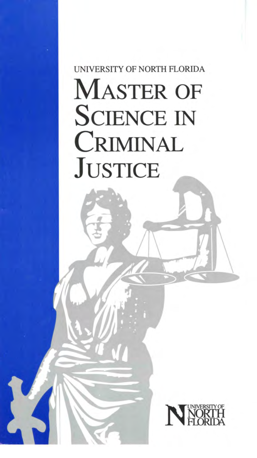# UNIVERSITY OF NORTH FLORIDA MASTER OF SCIENCE IN CRIMINAL **JUSTICE**

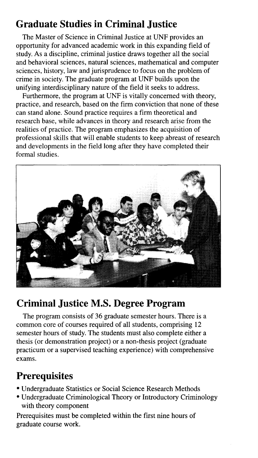#### **Graduate Studies in Criminal Justice**

The Master of Science in Criminal Justice at UNF provides an opportunity for advanced academic work in this expanding field of study. As a discipline, criminal justice draws together all the social and behavioral sciences, natural sciences, mathematical and computer sciences, history, law and jurisprudence to focus on the problem of crime in society. The graduate program at UNF builds upon the unifying interdisciplinary nature of the field it seeks to address.

Furthermore, the program at UNF is vitally concerned with theory, practice, and research, based on the firm conviction that none of these can stand alone. Sound practice requires a firm theoretical and research base, while advances in theory and research arise from the realities of practice. The program emphasizes the acquisition of professional skills that will enable students to keep abreast of research and developments in the field long after they have completed their formal studies.



#### **Criminal Justice M.S. Degree Program**

The program consists of 36 graduate semester hours. There is a common core of courses required of all students, comprising 12 semester hours of study. The students must also complete either a thesis (or demonstration project) or a non-thesis project (graduate practicum or a supervised teaching experience) with comprehensive exams.

#### **Prerequisites**

- Undergraduate Statistics or Social Science Research Methods
- Undergraduate Criminological Theory or Introductory Criminology with theory component

Prerequisites must be completed within the first nine hours of graduate course work.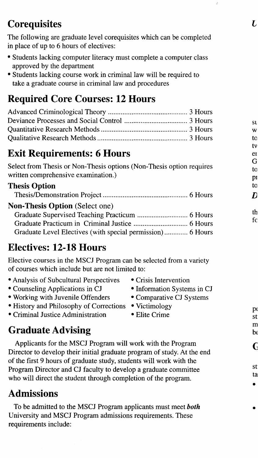# **Co requisites**

The following are graduate level corequisites which can be completed in place of up to 6 hours of electives:

- Students lacking computer literacy must complete a computer class approved by the department
- Students lacking course work in criminal law will be required to take a graduate course in criminal law and procedures

# **Required Core Courses: 12 Hours**

#### **Exit Requirements: 6 Hours**

Select from Thesis or Non-Thesis options (Non-Thesis option requires written comprehensive examination.)

#### **Thesis Option**

| <b>Non-Thesis Option</b> (Select one) |  |
|---------------------------------------|--|
|                                       |  |
|                                       |  |
|                                       |  |

#### **Electives: 12-18 Hours**

Elective courses in the MSCJ Program can be selected from a variety of courses which include but are not limited to:

- Analysis of Subcultural Perspectives Crisis Intervention
- Counseling Applications in CJ Information Systems in CJ
- Working with Juvenile Offenders Comparative CJ Systems
- History and Philosophy of Corrections Victimology
- Criminal Justice Administration Elite Crime

- 
- 
- 
- 

# **Graduate Advising**

Applicants for the MSCJ Program will work with the Program Director to develop their initial graduate program of study. At the end of the first 9 hours of graduate study, students will work with the Program Director and CJ faculty to develop a graduate committee who will direct the student through completion of the program.

# **Admissions**

To be admitted to the MSCJ Program applicants must meet *both*  University and MSCJ Program admissions requirements. These requirements include: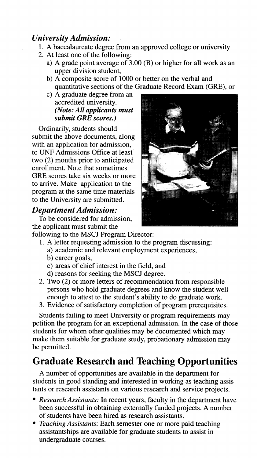#### *University Admission:*

- 1. A baccalaureate degree from an approved college or university
- 2. At least one of the following:
	- a) A grade point average of 3.00 (B) or higher for all work as an upper division student,
	- b) A composite score of 1000 or better on the verbal and quantitative sections of the Graduate Record Exam (ORE), or
	- c) A graduate degree from an accredited university. *(Note: All applicants must submit GRE scores.)*

Ordinarily, students should submit the above documents, along with an application for admission, to UNF Admissions Office at least two (2) months prior to anticipated enrollment. Note that sometimes GRE scores take six weeks or more to arrive. Make application to the program at the same time materials to the University are submitted.

#### *Department Admission:*

To be considered for admission, the applicant must submit the



following to the MSCJ Program Director:

- 1. A letter requesting admission to the program discussing:
	- a) academic and relevant employment experiences,
	- b) career goals,
	- c) areas of chief interest in the field, and
	- d) reasons for seeking the **MSCJ** degree.
- 2. Two (2) or more letters of recommendation from responsible persons who hold graduate degrees and know the student well enough to attest to the student's ability to do graduate work.
- 3. Evidence of satisfactory completion of program prerequisites.

Students failing to meet University or program requirements may petition the program for an exceptional admission. In the case of those students for whom other qualities may be documented which may make them suitable for graduate study, probationary admission may be permitted.

#### **Graduate Research and Teaching Opportunities**

A number of opportunities are available in the department for students in good standing and interested in working as teaching assistants or research assistants on various research and service projects.

- *Research Assistants:* In recent years, faculty in the department have been successful in obtaining externally funded projects. A number of students have been hired as research assistants.
- *Teaching Assistants:* Each semester one or more paid teaching assistantships are available for graduate students to assist in undergraduate courses.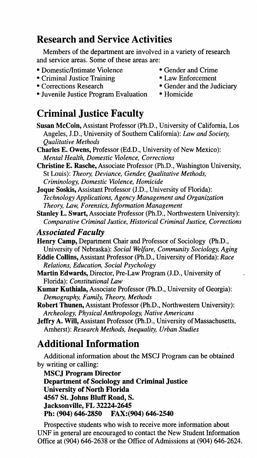#### **Research and Service Activities**

Members of the department are involved in a variety of research and service areas. Some of these areas are:

- Domestic/Intimate Violence Gender and Crime
- Criminal Justice Training Law Enforcement
- 
- 
- 
- Gender and the Judiciary
- Juvenile Justice Program Evaluation Homicide

### **Criminal Justice Faculty**

- **Susan McCoin,** Assistant Professor (Ph.D., University of California, Los Angeles, J.D., University of Southern California): *Law and Society, Qualitative Methods*
- **Charles E. Owens,** Professor (Ed.D., University of New Mexico): *Mental Health, Domestic Violence, Corrections*
- **Christine E. Rasche,** Associate Professor (Ph.D., Washington University, St Louis): *Theory, Deviance, Gender, Qualitative Methods, Criminology, Domestic Violence, Homicide*
- **Joque Soskis,** Assistant Professor (J.D., University of Florida): *Technology Applications, Agency Management and Organization Theory, Law, Forensics, Information Management*
- **Stanley L. Swart,** Associate Professor (Ph.D., Northwestern University): *Comparative Criminal Justice, Historical Criminal Justice, Corrections*

#### *Associated F acuity*

- **Henry Camp,** Department Chair and Professor of Sociology (Ph.D., University of Nebraska): *Social Welfare, Community Sociology, Aging*
- **Eddie Collins,** Assistant Professor (Ph.D., University of Florida): *Race Relations, Education, Social Psychology*
- **Martin Edwards,** Director, Pre-Law Program (J.D., University of Florida): *Constitutional Law*
- **Kumar Kuthiala,** Associate Professor (Ph.D., University of Georgia): *Demography, Family, Theory, Methods*
- **Robert Thunen,** Assistant Professor (Ph.D., Northwestern University): *Archeology, Physical Anthropology, Native Americans*
- **Jeffry A. Will,** Assistant Professor (Ph.D., University of Massachusetts, Amherst): *Research Methods, Inequality, Urban Studies*

#### **Additional Information**

Additional information about the MSCJ Program can be obtained by writing or calling:

**MSCJ Program Director Department of Sociology and Criminal Justice University of North Florida 4567 St. Johns Bluff Road, S. Jacksonville, FL 32224-2645 Ph: (904) 646-2850 FAX:(904) 646-2540** 

Prospective students who wish to receive more information about UNF in general are encouraged to contact the New Student Information Office at (904) 646-2638 or the Office of Admissions at (904) 646-2624.